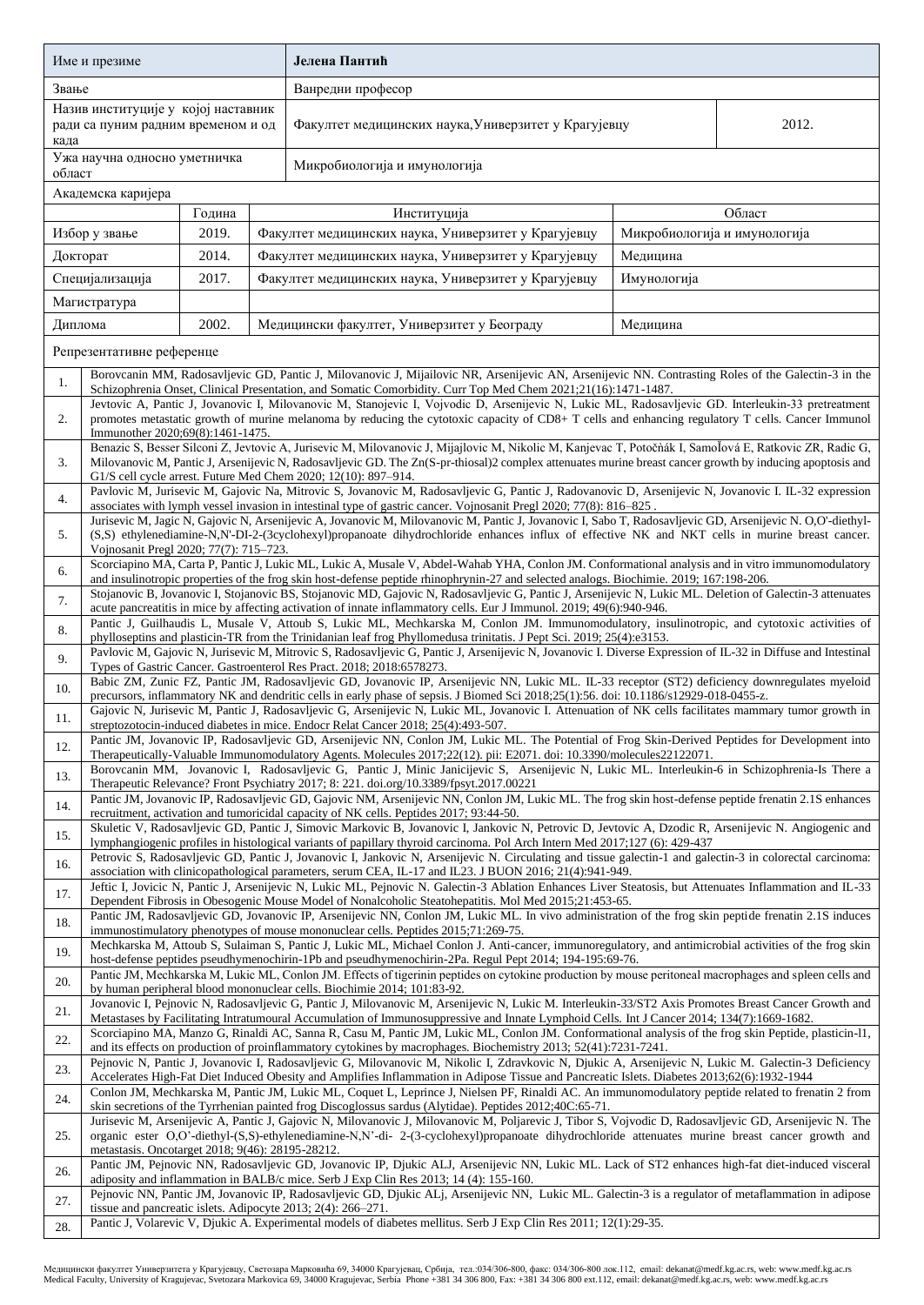| Име и презиме                                                                                                                                       |                                                                                                                                                                                                                                                                                                                                                                                                                        |  |  | Јелена Пантић                                                                                                                                             |       |                              |  |  |  |  |
|-----------------------------------------------------------------------------------------------------------------------------------------------------|------------------------------------------------------------------------------------------------------------------------------------------------------------------------------------------------------------------------------------------------------------------------------------------------------------------------------------------------------------------------------------------------------------------------|--|--|-----------------------------------------------------------------------------------------------------------------------------------------------------------|-------|------------------------------|--|--|--|--|
| Звање                                                                                                                                               |                                                                                                                                                                                                                                                                                                                                                                                                                        |  |  | Ванредни професор                                                                                                                                         |       |                              |  |  |  |  |
| Назив институције у којој наставник<br>ради са пуним радним временом и од<br>када                                                                   |                                                                                                                                                                                                                                                                                                                                                                                                                        |  |  | Факултет медицинских наука, Универзитет у Крагујевцу                                                                                                      | 2012. |                              |  |  |  |  |
| Ужа научна односно уметничка<br>област                                                                                                              |                                                                                                                                                                                                                                                                                                                                                                                                                        |  |  | Микробиологија и имунологија                                                                                                                              |       |                              |  |  |  |  |
|                                                                                                                                                     | Академска каријера                                                                                                                                                                                                                                                                                                                                                                                                     |  |  |                                                                                                                                                           |       |                              |  |  |  |  |
| Година                                                                                                                                              |                                                                                                                                                                                                                                                                                                                                                                                                                        |  |  | Институција                                                                                                                                               |       | Област                       |  |  |  |  |
| 2019.<br>Избор у звање                                                                                                                              |                                                                                                                                                                                                                                                                                                                                                                                                                        |  |  | Факултет медицинских наука, Универзитет у Крагујевцу                                                                                                      |       | Микробиологија и имунологија |  |  |  |  |
| 2014.<br>Докторат                                                                                                                                   |                                                                                                                                                                                                                                                                                                                                                                                                                        |  |  | Факултет медицинских наука, Универзитет у Крагујевцу<br>Медицина                                                                                          |       |                              |  |  |  |  |
| Специјализација<br>2017.                                                                                                                            |                                                                                                                                                                                                                                                                                                                                                                                                                        |  |  | Факултет медицинских наука, Универзитет у Крагујевцу<br>Имунологија                                                                                       |       |                              |  |  |  |  |
| Магистратура                                                                                                                                        |                                                                                                                                                                                                                                                                                                                                                                                                                        |  |  |                                                                                                                                                           |       |                              |  |  |  |  |
|                                                                                                                                                     | 2002.<br>Диплома                                                                                                                                                                                                                                                                                                                                                                                                       |  |  | Медицински факултет, Универзитет у Београду<br>Медицина                                                                                                   |       |                              |  |  |  |  |
|                                                                                                                                                     | Репрезентативне референце                                                                                                                                                                                                                                                                                                                                                                                              |  |  |                                                                                                                                                           |       |                              |  |  |  |  |
| Borovcanin MM, Radosavljevic GD, Pantic J, Milovanovic J, Mijailovic NR, Arsenijevic AN, Arsenijevic NN. Contrasting Roles of the Galectin-3 in the |                                                                                                                                                                                                                                                                                                                                                                                                                        |  |  |                                                                                                                                                           |       |                              |  |  |  |  |
| 1.                                                                                                                                                  | Schizophrenia Onset, Clinical Presentation, and Somatic Comorbidity. Curr Top Med Chem 2021;21(16):1471-1487.                                                                                                                                                                                                                                                                                                          |  |  |                                                                                                                                                           |       |                              |  |  |  |  |
| 2.                                                                                                                                                  | Jevtovic A, Pantic J, Jovanovic I, Milovanovic M, Stanojevic I, Vojvodic D, Arsenijevic N, Lukic ML, Radosavljevic GD. Interleukin-33 pretreatment<br>promotes metastatic growth of murine melanoma by reducing the cytotoxic capacity of CD8+ T cells and enhancing regulatory T cells. Cancer Immunol<br>Immunother 2020;69(8):1461-1475.                                                                            |  |  |                                                                                                                                                           |       |                              |  |  |  |  |
| 3.                                                                                                                                                  | Benazic S, Besser Silconi Z, Jevtovic A, Jurisevic M, Milovanovic J, Mijajlovic M, Nikolic M, Kanjevac T, Potočnák I, Samoľová E, Ratkovic ZR, Radic G,<br>Milovanovic M, Pantic J, Arsenijevic N, Radosavljevic GD. The Zn(S-pr-thiosal)2 complex attenuates murine breast cancer growth by inducing apoptosis and<br>G1/S cell cycle arrest. Future Med Chem 2020; 12(10): 897-914.                                  |  |  |                                                                                                                                                           |       |                              |  |  |  |  |
| 4.                                                                                                                                                  | Pavlovic M, Jurisevic M, Gajovic Na, Mitrovic S, Jovanovic M, Radosavljevic G, Pantic J, Radovanovic D, Arsenijevic N, Jovanovic I. IL-32 expression<br>associates with lymph vessel invasion in intestinal type of gastric cancer. Vojnosanit Pregl 2020; 77(8): 816–825.                                                                                                                                             |  |  |                                                                                                                                                           |       |                              |  |  |  |  |
|                                                                                                                                                     |                                                                                                                                                                                                                                                                                                                                                                                                                        |  |  | Jurisevic M, Jagic N, Gajovic N, Arsenijevic A, Jovanovic M, Milovanovic M, Pantic J, Jovanovic I, Sabo T, Radosavljevic GD, Arsenijevic N. O,O'-diethyl- |       |                              |  |  |  |  |
| 5.                                                                                                                                                  | Vojnosanit Pregl 2020; 77(7): 715-723.                                                                                                                                                                                                                                                                                                                                                                                 |  |  | (S,S) ethylenediamine-N,N'-DI-2-(3cyclohexyl)propanoate dihydrochloride enhances influx of effective NK and NKT cells in murine breast cancer.            |       |                              |  |  |  |  |
| 6.                                                                                                                                                  | Scorciapino MA, Carta P, Pantic J, Lukic ML, Lukic A, Musale V, Abdel-Wahab YHA, Conlon JM. Conformational analysis and in vitro immunomodulatory<br>and insulinotropic properties of the frog skin host-defense peptide rhinophrynin-27 and selected analogs. Biochimie. 2019; 167:198-206.                                                                                                                           |  |  |                                                                                                                                                           |       |                              |  |  |  |  |
| 7.                                                                                                                                                  | Stojanovic B, Jovanovic I, Stojanovic BS, Stojanovic MD, Gajovic N, Radosavljevic G, Pantic J, Arsenijevic N, Lukic ML. Deletion of Galectin-3 attenuates                                                                                                                                                                                                                                                              |  |  |                                                                                                                                                           |       |                              |  |  |  |  |
| 8.                                                                                                                                                  | acute pancreatitis in mice by affecting activation of innate inflammatory cells. Eur J Immunol. 2019; 49(6):940-946.<br>Pantic J, Guilhaudis L, Musale V, Attoub S, Lukic ML, Mechkarska M, Conlon JM. Immunomodulatory, insulinotropic, and cytotoxic activities of                                                                                                                                                   |  |  |                                                                                                                                                           |       |                              |  |  |  |  |
|                                                                                                                                                     | phylloseptins and plasticin-TR from the Trinidanian leaf frog Phyllomedusa trinitatis. J Pept Sci. 2019; 25(4):e3153.<br>Pavlovic M, Gajovic N, Jurisevic M, Mitrovic S, Radosavljevic G, Pantic J, Arsenijevic N, Jovanovic I. Diverse Expression of IL-32 in Diffuse and Intestinal                                                                                                                                  |  |  |                                                                                                                                                           |       |                              |  |  |  |  |
| 9.                                                                                                                                                  |                                                                                                                                                                                                                                                                                                                                                                                                                        |  |  | Types of Gastric Cancer. Gastroenterol Res Pract. 2018; 2018:6578273.                                                                                     |       |                              |  |  |  |  |
| 10.                                                                                                                                                 | Babic ZM, Zunic FZ, Pantic JM, Radosavljevic GD, Jovanovic IP, Arsenijevic NN, Lukic ML. IL-33 receptor (ST2) deficiency downregulates myeloid<br>precursors, inflammatory NK and dendritic cells in early phase of sepsis. J Biomed Sci 2018;25(1):56. doi: 10.1186/s12929-018-0455-z.                                                                                                                                |  |  |                                                                                                                                                           |       |                              |  |  |  |  |
| 11.                                                                                                                                                 | Gajovic N, Jurisevic M, Pantic J, Radosavljevic G, Arsenijevic N, Lukic ML, Jovanovic I. Attenuation of NK cells facilitates mammary tumor growth in<br>streptozotocin-induced diabetes in mice. Endocr Relat Cancer 2018; 25(4):493-507.<br>Pantic JM, Jovanovic IP, Radosavljevic GD, Arsenijevic NN, Conlon JM, Lukic ML. The Potential of Frog Skin-Derived Peptides for Development into                          |  |  |                                                                                                                                                           |       |                              |  |  |  |  |
| 12.                                                                                                                                                 |                                                                                                                                                                                                                                                                                                                                                                                                                        |  |  | Therapeutically-Valuable Immunomodulatory Agents. Molecules 2017;22(12). pii: E2071. doi: 10.3390/molecules22122071.                                      |       |                              |  |  |  |  |
| 13.                                                                                                                                                 | Borovcanin MM, Jovanovic I, Radosavljevic G, Pantic J, Minic Janicijevic S, Arsenijevic N, Lukic ML. Interleukin-6 in Schizophrenia-Is There a<br>Therapeutic Relevance? Front Psychiatry 2017; 8: 221. doi.org/10.3389/fpsyt.2017.00221                                                                                                                                                                               |  |  |                                                                                                                                                           |       |                              |  |  |  |  |
| 14.                                                                                                                                                 | Pantic JM, Jovanovic IP, Radosavljevic GD, Gajovic NM, Arsenijevic NN, Conlon JM, Lukic ML. The frog skin host-defense peptide frenatin 2.1S enhances<br>recruitment, activation and tumoricidal capacity of NK cells. Peptides 2017; 93:44-50.                                                                                                                                                                        |  |  |                                                                                                                                                           |       |                              |  |  |  |  |
| 15.                                                                                                                                                 | Skuletic V, Radosavljevic GD, Pantic J, Simovic Markovic B, Jovanovic I, Jankovic N, Petrovic D, Jevtovic A, Dzodic R, Arsenijevic N. Angiogenic and<br>lymphangiogenic profiles in histological variants of papillary thyroid carcinoma. Pol Arch Intern Med 2017;127 (6): 429-437                                                                                                                                    |  |  |                                                                                                                                                           |       |                              |  |  |  |  |
| 16.                                                                                                                                                 | Petrovic S, Radosavljevic GD, Pantic J, Jovanovic I, Jankovic N, Arsenijevic N. Circulating and tissue galectin-1 and galectin-3 in colorectal carcinoma:<br>association with clinicopathological parameters, serum CEA, IL-17 and IL23. J BUON 2016; 21(4):941-949.                                                                                                                                                   |  |  |                                                                                                                                                           |       |                              |  |  |  |  |
| 17.                                                                                                                                                 | Jeftic I, Jovicic N, Pantic J, Arsenijevic N, Lukic ML, Pejnovic N. Galectin-3 Ablation Enhances Liver Steatosis, but Attenuates Inflammation and IL-33<br>Dependent Fibrosis in Obesogenic Mouse Model of Nonalcoholic Steatohepatitis. Mol Med 2015;21:453-65.                                                                                                                                                       |  |  |                                                                                                                                                           |       |                              |  |  |  |  |
| 18.                                                                                                                                                 | Pantic JM, Radosavljevic GD, Jovanovic IP, Arsenijevic NN, Conlon JM, Lukic ML. In vivo administration of the frog skin peptide frenatin 2.1S induces                                                                                                                                                                                                                                                                  |  |  |                                                                                                                                                           |       |                              |  |  |  |  |
| 19.                                                                                                                                                 | immunostimulatory phenotypes of mouse mononuclear cells. Peptides 2015;71:269-75.<br>Mechkarska M, Attoub S, Sulaiman S, Pantic J, Lukic ML, Michael Conlon J. Anti-cancer, immunoregulatory, and antimicrobial activities of the frog skin                                                                                                                                                                            |  |  |                                                                                                                                                           |       |                              |  |  |  |  |
| 20.                                                                                                                                                 | host-defense peptides pseudhymenochirin-1Pb and pseudhymenochirin-2Pa. Regul Pept 2014; 194-195:69-76.<br>Pantic JM, Mechkarska M, Lukic ML, Conlon JM. Effects of tigerinin peptides on cytokine production by mouse peritoneal macrophages and spleen cells and                                                                                                                                                      |  |  |                                                                                                                                                           |       |                              |  |  |  |  |
| 21.                                                                                                                                                 | by human peripheral blood mononuclear cells. Biochimie 2014; 101:83-92.<br>Jovanovic I, Pejnovic N, Radosavljevic G, Pantic J, Milovanovic M, Arsenijevic N, Lukic M. Interleukin-33/ST2 Axis Promotes Breast Cancer Growth and                                                                                                                                                                                        |  |  |                                                                                                                                                           |       |                              |  |  |  |  |
| 22.                                                                                                                                                 | Metastases by Facilitating Intratumoural Accumulation of Immunosuppressive and Innate Lymphoid Cells. Int J Cancer 2014; 134(7):1669-1682.<br>Scorciapino MA, Manzo G, Rinaldi AC, Sanna R, Casu M, Pantic JM, Lukic ML, Conlon JM. Conformational analysis of the frog skin Peptide, plasticin-11,<br>and its effects on production of proinflammatory cytokines by macrophages. Biochemistry 2013; 52(41):7231-7241. |  |  |                                                                                                                                                           |       |                              |  |  |  |  |
| 23.                                                                                                                                                 | Pejnovic N, Pantic J, Jovanovic I, Radosavljevic G, Milovanovic M, Nikolic I, Zdravkovic N, Djukic A, Arsenijevic N, Lukic M. Galectin-3 Deficiency<br>Accelerates High-Fat Diet Induced Obesity and Amplifies Inflammation in Adipose Tissue and Pancreatic Islets. Diabetes 2013;62(6):1932-1944                                                                                                                     |  |  |                                                                                                                                                           |       |                              |  |  |  |  |
| 24.                                                                                                                                                 | Conlon JM, Mechkarska M, Pantic JM, Lukic ML, Coquet L, Leprince J, Nielsen PF, Rinaldi AC. An immunomodulatory peptide related to frenatin 2 from<br>skin secretions of the Tyrrhenian painted frog Discoglossus sardus (Alytidae). Peptides 2012;40C:65-71.                                                                                                                                                          |  |  |                                                                                                                                                           |       |                              |  |  |  |  |
| 25.                                                                                                                                                 | Jurisevic M, Arsenijevic A, Pantic J, Gajovic N, Milovanovic J, Milovanovic M, Poljarevic J, Tibor S, Vojvodic D, Radosavljevic GD, Arsenijevic N. The<br>organic ester O,O'-diethyl-(S,S)-ethylenediamine-N,N'-di- 2-(3-cyclohexyl)propanoate dihydrochloride attenuates murine breast cancer growth and                                                                                                              |  |  |                                                                                                                                                           |       |                              |  |  |  |  |
|                                                                                                                                                     | metastasis. Oncotarget 2018; 9(46): 28195-28212.                                                                                                                                                                                                                                                                                                                                                                       |  |  |                                                                                                                                                           |       |                              |  |  |  |  |
| 26.                                                                                                                                                 | Pantic JM, Pejnovic NN, Radosavljevic GD, Jovanovic IP, Djukic ALJ, Arsenijevic NN, Lukic ML. Lack of ST2 enhances high-fat diet-induced visceral<br>adiposity and inflammation in BALB/c mice. Serb J Exp Clin Res 2013; 14 (4): 155-160.                                                                                                                                                                             |  |  |                                                                                                                                                           |       |                              |  |  |  |  |
| 27.                                                                                                                                                 | Pejnovic NN, Pantic JM, Jovanovic IP, Radosavljevic GD, Djukic ALj, Arsenijevic NN, Lukic ML. Galectin-3 is a regulator of metaflammation in adipose<br>tissue and pancreatic islets. Adipocyte 2013; 2(4): 266–271.                                                                                                                                                                                                   |  |  |                                                                                                                                                           |       |                              |  |  |  |  |
| 28.                                                                                                                                                 |                                                                                                                                                                                                                                                                                                                                                                                                                        |  |  | Pantic J, Volarevic V, Djukic A. Experimental models of diabetes mellitus. Serb J Exp Clin Res 2011; 12(1):29-35.                                         |       |                              |  |  |  |  |